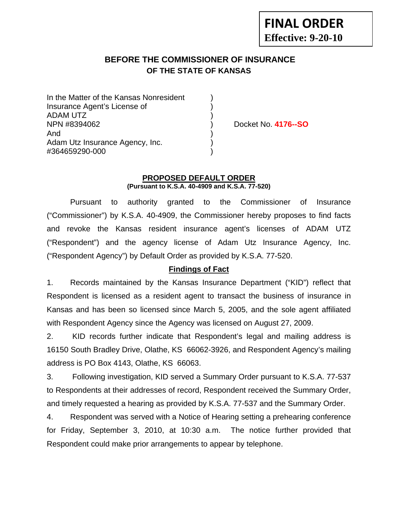# **BEFORE THE COMMISSIONER OF INSURANCE OF THE STATE OF KANSAS**

| In the Matter of the Kansas Nonresident |  |
|-----------------------------------------|--|
| Insurance Agent's License of            |  |
| <b>ADAM UTZ</b>                         |  |
| NPN #8394062                            |  |
| And                                     |  |
| Adam Utz Insurance Agency, Inc.         |  |
| #364659290-000                          |  |

Docket No. **4176--SO** 

#### **PROPOSED DEFAULT ORDER (Pursuant to K.S.A. 40-4909 and K.S.A. 77-520)**

 Pursuant to authority granted to the Commissioner of Insurance ("Commissioner") by K.S.A. 40-4909, the Commissioner hereby proposes to find facts and revoke the Kansas resident insurance agent's licenses of ADAM UTZ ("Respondent") and the agency license of Adam Utz Insurance Agency, Inc. ("Respondent Agency") by Default Order as provided by K.S.A. 77-520.

# **Findings of Fact**

1. Records maintained by the Kansas Insurance Department ("KID") reflect that Respondent is licensed as a resident agent to transact the business of insurance in Kansas and has been so licensed since March 5, 2005, and the sole agent affiliated with Respondent Agency since the Agency was licensed on August 27, 2009.

2. KID records further indicate that Respondent's legal and mailing address is 16150 South Bradley Drive, Olathe, KS 66062-3926, and Respondent Agency's mailing address is PO Box 4143, Olathe, KS 66063.

3. Following investigation, KID served a Summary Order pursuant to K.S.A. 77-537 to Respondents at their addresses of record, Respondent received the Summary Order, and timely requested a hearing as provided by K.S.A. 77-537 and the Summary Order.

4. Respondent was served with a Notice of Hearing setting a prehearing conference for Friday, September 3, 2010, at 10:30 a.m. The notice further provided that Respondent could make prior arrangements to appear by telephone.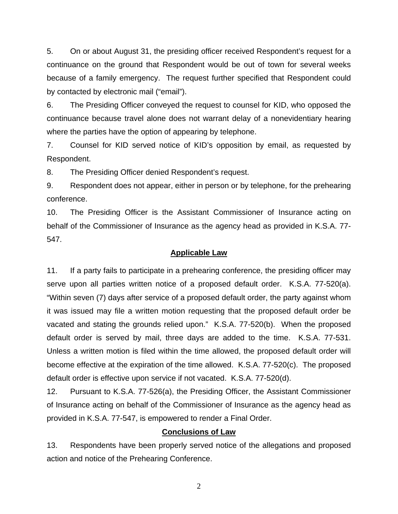5. On or about August 31, the presiding officer received Respondent's request for a continuance on the ground that Respondent would be out of town for several weeks because of a family emergency. The request further specified that Respondent could by contacted by electronic mail ("email").

6. The Presiding Officer conveyed the request to counsel for KID, who opposed the continuance because travel alone does not warrant delay of a nonevidentiary hearing where the parties have the option of appearing by telephone.

7. Counsel for KID served notice of KID's opposition by email, as requested by Respondent.

8. The Presiding Officer denied Respondent's request.

9. Respondent does not appear, either in person or by telephone, for the prehearing conference.

10. The Presiding Officer is the Assistant Commissioner of Insurance acting on behalf of the Commissioner of Insurance as the agency head as provided in K.S.A. 77- 547.

### **Applicable Law**

11. If a party fails to participate in a prehearing conference, the presiding officer may serve upon all parties written notice of a proposed default order. K.S.A. 77-520(a). "Within seven (7) days after service of a proposed default order, the party against whom it was issued may file a written motion requesting that the proposed default order be vacated and stating the grounds relied upon." K.S.A. 77-520(b). When the proposed default order is served by mail, three days are added to the time. K.S.A. 77-531. Unless a written motion is filed within the time allowed, the proposed default order will become effective at the expiration of the time allowed. K.S.A. 77-520(c). The proposed default order is effective upon service if not vacated. K.S.A. 77-520(d).

12. Pursuant to K.S.A. 77-526(a), the Presiding Officer, the Assistant Commissioner of Insurance acting on behalf of the Commissioner of Insurance as the agency head as provided in K.S.A. 77-547, is empowered to render a Final Order.

### **Conclusions of Law**

13. Respondents have been properly served notice of the allegations and proposed action and notice of the Prehearing Conference.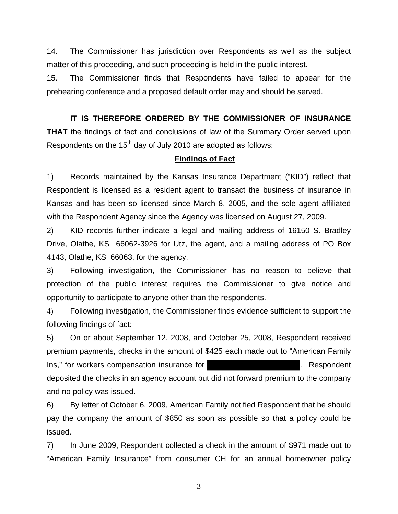14. The Commissioner has jurisdiction over Respondents as well as the subject matter of this proceeding, and such proceeding is held in the public interest.

15. The Commissioner finds that Respondents have failed to appear for the prehearing conference and a proposed default order may and should be served.

## **IT IS THEREFORE ORDERED BY THE COMMISSIONER OF INSURANCE**

**THAT** the findings of fact and conclusions of law of the Summary Order served upon Respondents on the 15<sup>th</sup> day of July 2010 are adopted as follows:

## **Findings of Fact**

1) Records maintained by the Kansas Insurance Department ("KID") reflect that Respondent is licensed as a resident agent to transact the business of insurance in Kansas and has been so licensed since March 8, 2005, and the sole agent affiliated with the Respondent Agency since the Agency was licensed on August 27, 2009.

2) KID records further indicate a legal and mailing address of 16150 S. Bradley Drive, Olathe, KS 66062-3926 for Utz, the agent, and a mailing address of PO Box 4143, Olathe, KS 66063, for the agency.

3) Following investigation, the Commissioner has no reason to believe that protection of the public interest requires the Commissioner to give notice and opportunity to participate to anyone other than the respondents.

4) Following investigation, the Commissioner finds evidence sufficient to support the following findings of fact:

5) On or about September 12, 2008, and October 25, 2008, Respondent received premium payments, checks in the amount of \$425 each made out to "American Family Ins," for workers compensation insurance for **Example 2018** 2019. Respondent deposited the checks in an agency account but did not forward premium to the company and no policy was issued.

6) By letter of October 6, 2009, American Family notified Respondent that he should pay the company the amount of \$850 as soon as possible so that a policy could be issued.

7) In June 2009, Respondent collected a check in the amount of \$971 made out to "American Family Insurance" from consumer CH for an annual homeowner policy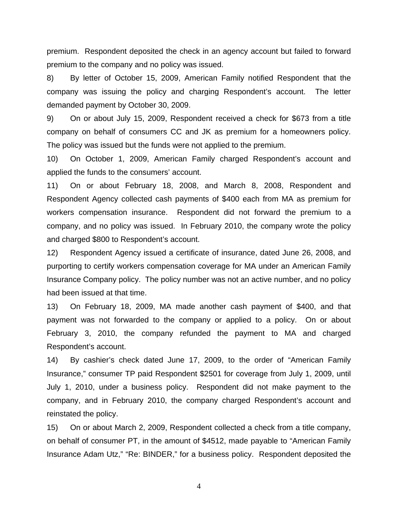premium. Respondent deposited the check in an agency account but failed to forward premium to the company and no policy was issued.

8) By letter of October 15, 2009, American Family notified Respondent that the company was issuing the policy and charging Respondent's account. The letter demanded payment by October 30, 2009.

9) On or about July 15, 2009, Respondent received a check for \$673 from a title company on behalf of consumers CC and JK as premium for a homeowners policy. The policy was issued but the funds were not applied to the premium.

10) On October 1, 2009, American Family charged Respondent's account and applied the funds to the consumers' account.

11) On or about February 18, 2008, and March 8, 2008, Respondent and Respondent Agency collected cash payments of \$400 each from MA as premium for workers compensation insurance. Respondent did not forward the premium to a company, and no policy was issued. In February 2010, the company wrote the policy and charged \$800 to Respondent's account.

12) Respondent Agency issued a certificate of insurance, dated June 26, 2008, and purporting to certify workers compensation coverage for MA under an American Family Insurance Company policy. The policy number was not an active number, and no policy had been issued at that time.

13) On February 18, 2009, MA made another cash payment of \$400, and that payment was not forwarded to the company or applied to a policy. On or about February 3, 2010, the company refunded the payment to MA and charged Respondent's account.

14) By cashier's check dated June 17, 2009, to the order of "American Family Insurance," consumer TP paid Respondent \$2501 for coverage from July 1, 2009, until July 1, 2010, under a business policy. Respondent did not make payment to the company, and in February 2010, the company charged Respondent's account and reinstated the policy.

15) On or about March 2, 2009, Respondent collected a check from a title company, on behalf of consumer PT, in the amount of \$4512, made payable to "American Family Insurance Adam Utz," "Re: BINDER," for a business policy. Respondent deposited the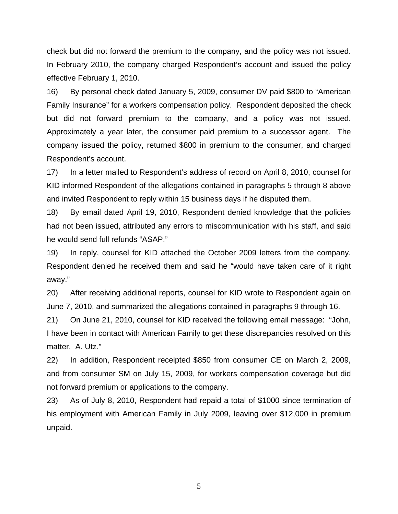check but did not forward the premium to the company, and the policy was not issued. In February 2010, the company charged Respondent's account and issued the policy effective February 1, 2010.

16) By personal check dated January 5, 2009, consumer DV paid \$800 to "American Family Insurance" for a workers compensation policy. Respondent deposited the check but did not forward premium to the company, and a policy was not issued. Approximately a year later, the consumer paid premium to a successor agent. The company issued the policy, returned \$800 in premium to the consumer, and charged Respondent's account.

17) In a letter mailed to Respondent's address of record on April 8, 2010, counsel for KID informed Respondent of the allegations contained in paragraphs 5 through 8 above and invited Respondent to reply within 15 business days if he disputed them.

18) By email dated April 19, 2010, Respondent denied knowledge that the policies had not been issued, attributed any errors to miscommunication with his staff, and said he would send full refunds "ASAP."

19) In reply, counsel for KID attached the October 2009 letters from the company. Respondent denied he received them and said he "would have taken care of it right away."

20) After receiving additional reports, counsel for KID wrote to Respondent again on June 7, 2010, and summarized the allegations contained in paragraphs 9 through 16.

21) On June 21, 2010, counsel for KID received the following email message: "John, I have been in contact with American Family to get these discrepancies resolved on this matter. A. Utz."

22) In addition, Respondent receipted \$850 from consumer CE on March 2, 2009, and from consumer SM on July 15, 2009, for workers compensation coverage but did not forward premium or applications to the company.

23) As of July 8, 2010, Respondent had repaid a total of \$1000 since termination of his employment with American Family in July 2009, leaving over \$12,000 in premium unpaid.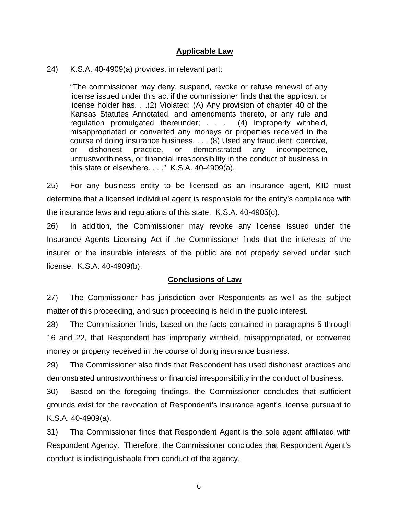### **Applicable Law**

24) K.S.A. 40-4909(a) provides, in relevant part:

"The commissioner may deny, suspend, revoke or refuse renewal of any license issued under this act if the commissioner finds that the applicant or license holder has. . .(2) Violated: (A) Any provision of chapter 40 of the Kansas Statutes Annotated, and amendments thereto, or any rule and regulation promulgated thereunder; . . . (4) Improperly withheld, misappropriated or converted any moneys or properties received in the course of doing insurance business. . . . (8) Used any fraudulent, coercive, or dishonest practice, or demonstrated any incompetence, untrustworthiness, or financial irresponsibility in the conduct of business in this state or elsewhere. . . ." K.S.A. 40-4909(a).

25) For any business entity to be licensed as an insurance agent, KID must determine that a licensed individual agent is responsible for the entity's compliance with the insurance laws and regulations of this state. K.S.A. 40-4905(c).

26) In addition, the Commissioner may revoke any license issued under the Insurance Agents Licensing Act if the Commissioner finds that the interests of the insurer or the insurable interests of the public are not properly served under such license. K.S.A. 40-4909(b).

## **Conclusions of Law**

27) The Commissioner has jurisdiction over Respondents as well as the subject matter of this proceeding, and such proceeding is held in the public interest.

28) The Commissioner finds, based on the facts contained in paragraphs 5 through 16 and 22, that Respondent has improperly withheld, misappropriated, or converted money or property received in the course of doing insurance business.

29) The Commissioner also finds that Respondent has used dishonest practices and demonstrated untrustworthiness or financial irresponsibility in the conduct of business.

30) Based on the foregoing findings, the Commissioner concludes that sufficient grounds exist for the revocation of Respondent's insurance agent's license pursuant to K.S.A. 40-4909(a).

31) The Commissioner finds that Respondent Agent is the sole agent affiliated with Respondent Agency. Therefore, the Commissioner concludes that Respondent Agent's conduct is indistinguishable from conduct of the agency.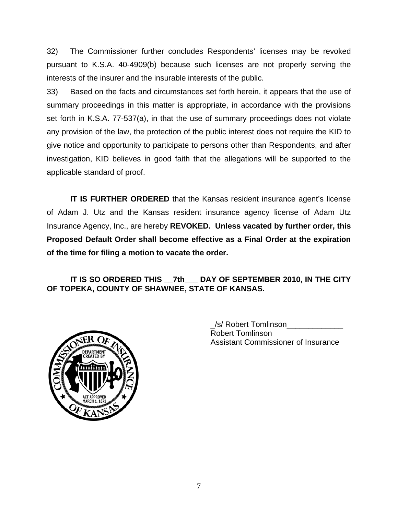32) The Commissioner further concludes Respondents' licenses may be revoked pursuant to K.S.A. 40-4909(b) because such licenses are not properly serving the interests of the insurer and the insurable interests of the public.

33) Based on the facts and circumstances set forth herein, it appears that the use of summary proceedings in this matter is appropriate, in accordance with the provisions set forth in K.S.A. 77-537(a), in that the use of summary proceedings does not violate any provision of the law, the protection of the public interest does not require the KID to give notice and opportunity to participate to persons other than Respondents, and after investigation, KID believes in good faith that the allegations will be supported to the applicable standard of proof.

**IT IS FURTHER ORDERED** that the Kansas resident insurance agent's license of Adam J. Utz and the Kansas resident insurance agency license of Adam Utz Insurance Agency, Inc., are hereby **REVOKED. Unless vacated by further order, this Proposed Default Order shall become effective as a Final Order at the expiration of the time for filing a motion to vacate the order.**

IT IS SO ORDERED THIS 7th DAY OF SEPTEMBER 2010, IN THE CITY **OF TOPEKA, COUNTY OF SHAWNEE, STATE OF KANSAS.** 



 \_/s/ Robert Tomlinson\_\_\_\_\_\_\_\_\_\_\_\_\_ Robert Tomlinson Assistant Commissioner of Insurance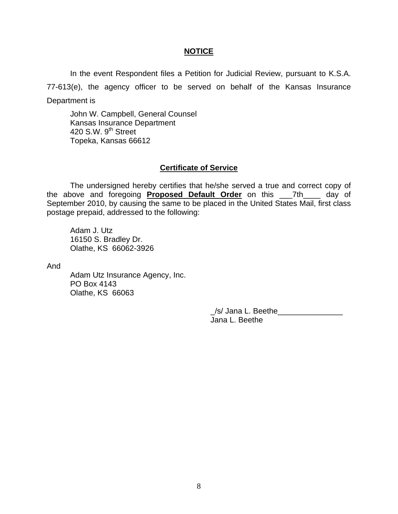#### **NOTICE**

In the event Respondent files a Petition for Judicial Review, pursuant to K.S.A. 77-613(e), the agency officer to be served on behalf of the Kansas Insurance Department is

 John W. Campbell, General Counsel Kansas Insurance Department 420 S.W. 9<sup>th</sup> Street Topeka, Kansas 66612

#### **Certificate of Service**

 The undersigned hereby certifies that he/she served a true and correct copy of the above and foregoing **Proposed Default Order** on this \_\_\_7th\_\_\_\_ day of September 2010, by causing the same to be placed in the United States Mail, first class postage prepaid, addressed to the following:

 Adam J. Utz 16150 S. Bradley Dr. Olathe, KS 66062-3926

And

 Adam Utz Insurance Agency, Inc. PO Box 4143 Olathe, KS 66063

> /s/ Jana L. Beethe Jana L. Beethe